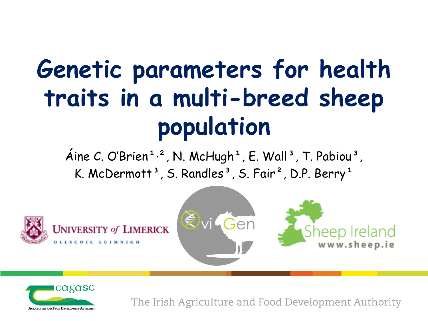## **Genetic parameters for health traits in a multi-breed sheep population**

Aine C. O'Brien<sup>1,2</sup>, N. McHugh<sup>1</sup>, E. Wall<sup>3</sup>, T. Pabiou<sup>3</sup>, K. McDermott<sup>3</sup>, S. Randles<sup>3</sup>, S. Fair<sup>2</sup>, D.P. Berry<sup>1</sup>





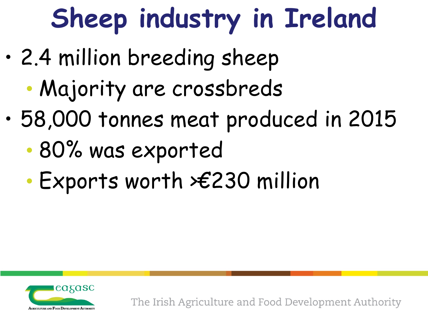# **Sheep industry in Ireland**

- 2.4 million breeding sheep
	- Majority are crossbreds
- 58,000 tonnes meat produced in 2015
	- 80% was exported
	- Exports worth >€230 million

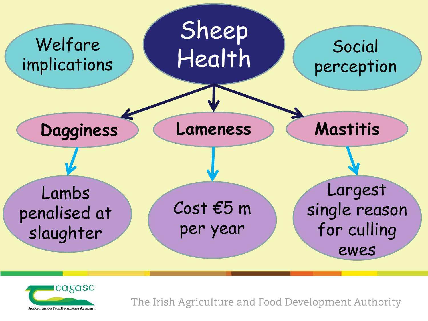

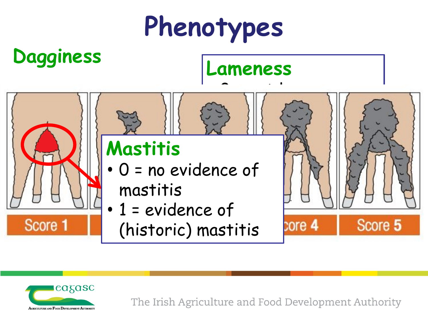# **Phenotypes**

**Dagginess Lameness**

#### **Mastitis**

- 0 = no evidence of mastitis
- 1 = evidence of
	- (historic) mastitis





Score 1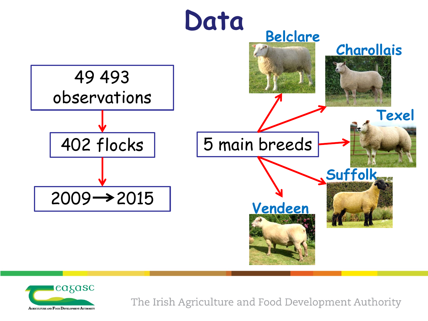

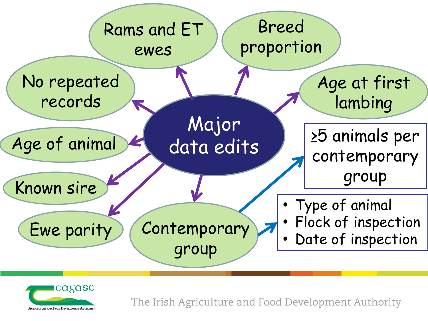

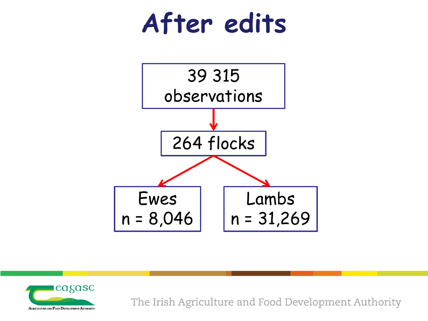



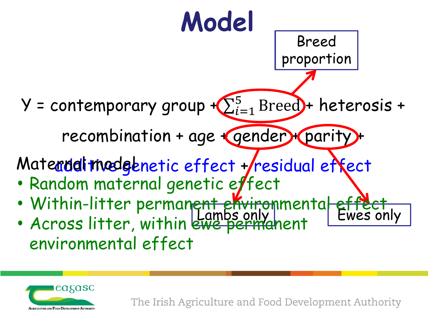

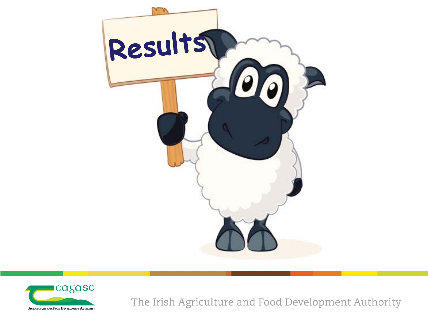

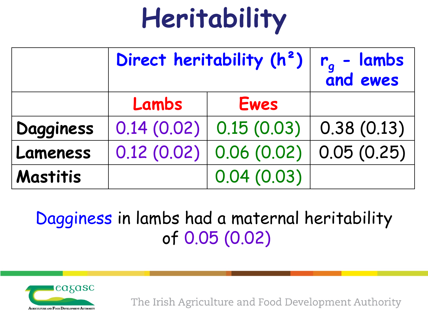# **Heritability**

|           | Direct heritability (h <sup>2</sup> ) |            | $r_a$ - lambs<br>and ewes |
|-----------|---------------------------------------|------------|---------------------------|
|           | Lambs                                 | Ewes       |                           |
| Dagginess | 0.14(0.02)                            | 0.15(0.03) | 0.38(0.13)                |
| Lameness  | 0.12(0.02)                            | 0.06(0.02) | 0.05(0.25)                |
| Mastitis  |                                       | 0.04(0.03) |                           |

Dagginess in lambs had a maternal heritability of 0.05 (0.02)

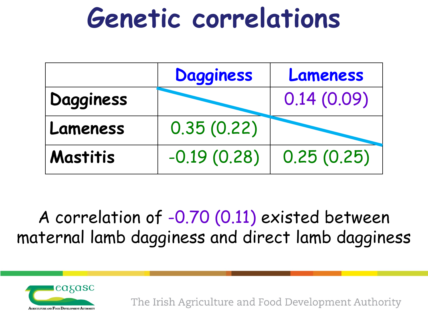### **Genetic correlations**

|           | <b>Dagginess</b> | Lameness   |
|-----------|------------------|------------|
| Dagginess |                  | 0.14(0.09) |
| Lameness  | 0.35(0.22)       |            |
| Mastitis  | $-0.19(0.28)$    | 0.25(0.25) |

A correlation of -0.70 (0.11) existed between maternal lamb dagginess and direct lamb dagginess

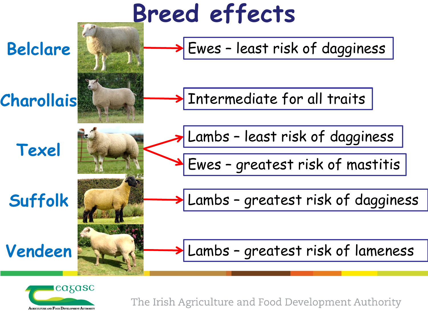

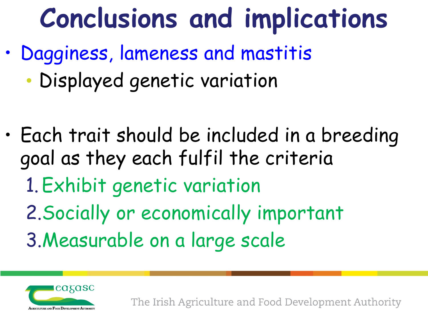## **Conclusions and implications**

- Dagginess, lameness and mastitis
	- Displayed genetic variation
- Each trait should be included in a breeding goal as they each fulfil the criteria 1.Exhibit genetic variation 2.Socially or economically important 3.Measurable on a large scale